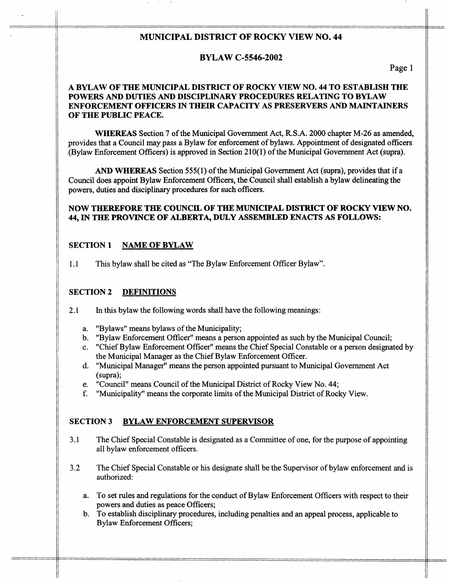# **MUNICIPAL DISTRICT OF ROCKY VIEW NO. 44**

- --

In the second contract of the second contract of the second contract of the second contract of the second contract of the second contract of the second contract of the second contract of the second contract of the second c

# **BYLAW C-5546-2002**

**Page** 1

## **A BYLAW OF THE MUNICIPAL DISTRICT OF ROCKY VIEW NO. 44 TO ESTABLISH THE POWERS** AND **DUTIES** AND **DISCIPLINARY PROCEDURES RELATING TO BYLAW ENFORCEMENT OFFICERS IN THEIR CAPACITY AS PRESERVERS** *AND* **MAINTAINERS OF THE PUBLIC PEACE.**

**WHEREAS** Section **7** of the Municipal Government Act, **R.S.A.** 2000 chapter **M-26** as amended, provides that a Council may pass a Bylaw for enforcement of bylaws. Appointment of designated officers (Bylaw Enforcement Officers) is approved in Section **2** 1 **O( 1)** of the Municipal Government Act (supra).

AND **WHEREAS** Section *555(* **1)** of the Municipal Government Act (supra), provides that if a Council does appoint Bylaw Enforcement Officers, the Council shall establish a bylaw delineating the powers, duties and disciplinary procedures for such officers.

## **NOW THEREFORE THE COUNCIL OF THE MUNICIPAL DISTRICT OF ROCKY VIEW NO. 44, IN TRE PROVINCE OF ALBERTA, DULY ASSEMBLED ENACTS AS FOLLOWS:**

# **SECTION 1 NAME OF BYLAW**

1.1 This bylaw shall be cited as "The Bylaw Enforcement Officer Bylaw".

## **SECTION 2 DEFINITIONS**

- **2.1** In this bylaw the following words shall have the following meanings:
	- a. "Bylaws" means bylaws of the Municipality;
	- b. "Bylaw Enforcement Officer" means a person appointed as such by the Municipal Council;
	- c. "Chief Bylaw Enforcement Officer" means the Chief Special Constable or a person designated by the Municipal Manager as the Chief Bylaw Enforcement Officer.
	- d. "Municipal Manager" means the person appointed pursuant to Municipal Government Act (supra);
	- *e.* "Council" means Council of the Municipal District of Rocky View No. **44;**
	- f. "Municipality" means the corporate limits of the Municipal District of Rocky View.

## **SECTION 3 BYLAW ENFORCEMENT SUPERVISOR**

- **3.1** The Chief Special Constable is designated as **a** Committee of one, for the purpose of appointing all bylaw enforcement officers.
- 3.2 The Chief Special Constable or his designate shall be the Supervisor of bylaw enforcement and is authorized:
	- a. To set rules and regulations for the conduct of Bylaw Enforcement Officers with respect to their powers and duties as peace Officers;
	- b. To establish disciplinary procedures, including penalties **and** an appeal process, applicable to Bylaw Enforcement Officers;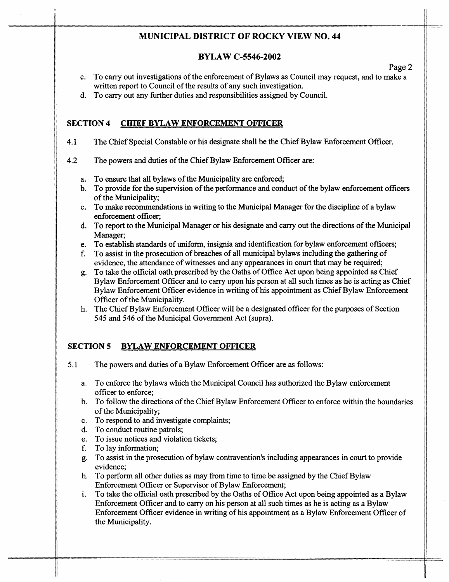# **MUNICIPAL DISTRICT OF ROCKY VIEW NO. 44**

-- --

**Page** 2

## **BYLAW C-5546-2002**

- c. To carry out investigations of the enforcement of Bylaws as Council may request, and to make a written report to Council of the results of any such investigation.
- d. To cany out any further duties and responsibilities assigned by Council.

## **SECTION 4 CHIEF BYLAW ENFORCEMENT OFFICER**

- **4.1**  The Chief Special Constable or his designate shall be the Chief Bylaw Enforcement Officer.
- **4.2**  The powers and duties of the Chief Bylaw Enforcement Officer are:
	- a. To ensure that all bylaws of the Municipality are enforced;
	- b. To provide for the supervision of the performance and conduct of the bylaw enforcement officers of the Municipality;
	- C. To make recommendations in writing to the Municipal Manager for the discipline of a bylaw enforcement officer;
	- d. To report to the Municipal Manager or **his** designate and cany out the directions of the Municipal Manager;
	- e. To establish standards of uniform, insignia and identification for bylaw enforcement officers;
	- f. To assist in the prosecution of breaches of all municipal bylaws including the gathering of evidence, the attendance of witnesses and any appearances in court that may be required;
	- g. To take the official oath prescribed by the Oaths of Office Act upon being appointed as Chief Bylaw Enforcement Officer and to carry upon his person at all such times as he is acting as Chief Bylaw Enforcement Officer evidence in writing of **his** appointment as Chief Bylaw Enforcement Officer of the Municipality.
	- h. The Chief Bylaw Enforcement Officer will be a designated officer for the purposes of Section 545 and **546** of the Municipal Government Act (supra).

# **SECTION 5 BYLAW ENFORCEMENT OFFICER**

- 5.1 The powers and duties of a Bylaw Enforcement Officer are as follows:
	- **a.**  To enforce the bylaws which the Municipal Council has authorized the Bylaw enforcement officer to enforce;
	- b. To follow the directions of the Chief Bylaw Enforcement Officer to enforce within the boundaries of the Municipality;
	- C. To respond to and investigate complaints;
	- d. To conduct routine patrols;
	- e. To issue notices and violation tickets;
	- f. To lay information;
	- **g.**  To assist in the prosecution of bylaw contravention's including appearances in court to provide evidence;
	- h. To perform all other duties as may from time to time be assigned by the Chief Bylaw Enforcement Officer or Supervisor of Bylaw Enforcement;
	- i. To take the official oath prescribed by the Oaths of Office Act upon being appointed as a Bylaw Enforcement Officer and to carry on his person at all such times as he is acting as a Bylaw Enforcement Officer evidence in writing of his appointment as a Bylaw Enforcement Officer of the Municipality.